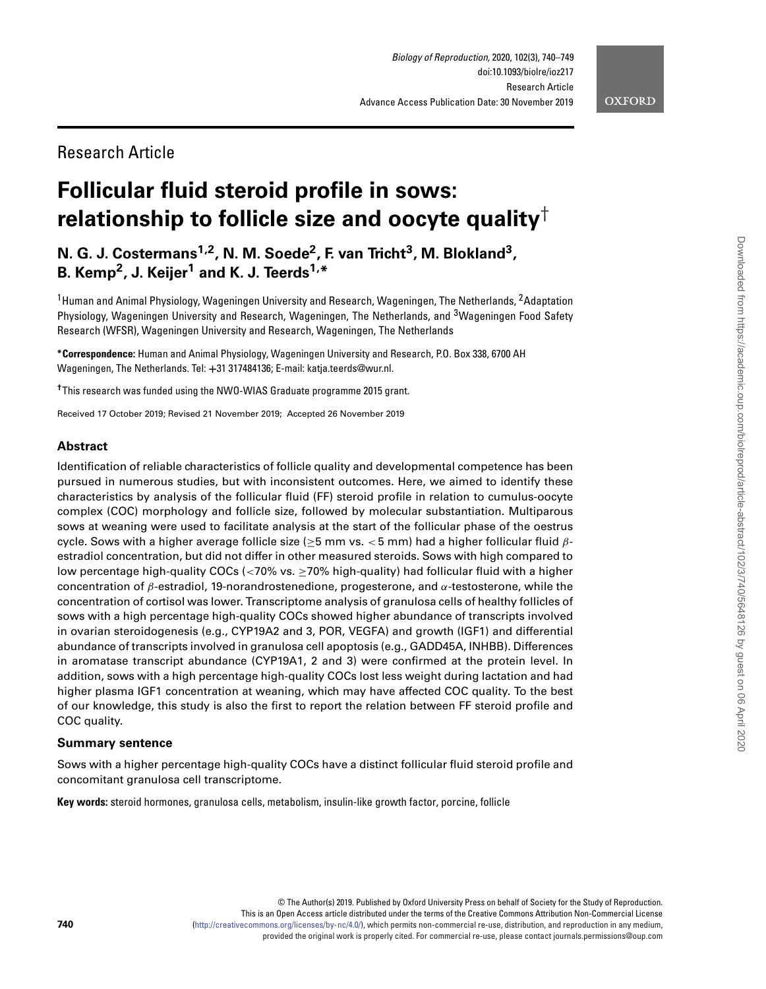# **OXFORD**

# Research Article

# **Follicular fluid steroid profile in sows: relationship to follicle size and oocyte quality**†

**N. G. J. Costermans1,2, N. M. Soede2, F. van Tricht3, M. Blokland3, B. Kemp2, J. Keijer1 and K. J. Teerds1,\***

<sup>1</sup> Human and Animal Physiology, Wageningen University and Research, Wageningen, The Netherlands, <sup>2</sup>Adaptation Physiology, Wageningen University and Research, Wageningen, The Netherlands, and <sup>3</sup>Wageningen Food Safety Research (WFSR), Wageningen University and Research, Wageningen, The Netherlands

**∗Correspondence:** Human and Animal Physiology, Wageningen University and Research, P.O. Box 338, 6700 AH Wageningen, The Netherlands. Tel: **+**31 317484136; E-mail: katja.teerds@wur.nl.

**†**This research was funded using the NWO-WIAS Graduate programme 2015 grant.

Received 17 October 2019; Revised 21 November 2019; Accepted 26 November 2019

# **Abstract**

Identification of reliable characteristics of follicle quality and developmental competence has been pursued in numerous studies, but with inconsistent outcomes. Here, we aimed to identify these characteristics by analysis of the follicular fluid (FF) steroid profile in relation to cumulus-oocyte complex (COC) morphology and follicle size, followed by molecular substantiation. Multiparous sows at weaning were used to facilitate analysis at the start of the follicular phase of the oestrus cycle. Sows with a higher average follicle size (≥5 mm vs. *<* 5 mm) had a higher follicular fluid *β*estradiol concentration, but did not differ in other measured steroids. Sows with high compared to low percentage high-quality COCs (*<*70% vs. ≥70% high-quality) had follicular fluid with a higher concentration of *β*-estradiol, 19-norandrostenedione, progesterone, and *α*-testosterone, while the concentration of cortisol was lower. Transcriptome analysis of granulosa cells of healthy follicles of sows with a high percentage high-quality COCs showed higher abundance of transcripts involved in ovarian steroidogenesis (e.g., CYP19A2 and 3, POR, VEGFA) and growth (IGF1) and differential abundance of transcripts involved in granulosa cell apoptosis (e.g., GADD45A, INHBB). Differences in aromatase transcript abundance (CYP19A1, 2 and 3) were confirmed at the protein level. In addition, sows with a high percentage high-quality COCs lost less weight during lactation and had higher plasma IGF1 concentration at weaning, which may have affected COC quality. To the best of our knowledge, this study is also the first to report the relation between FF steroid profile and COC quality.

# **Summary sentence**

Sows with a higher percentage high-quality COCs have a distinct follicular fluid steroid profile and concomitant granulosa cell transcriptome.

**Key words:** steroid hormones, granulosa cells, metabolism, insulin-like growth factor, porcine, follicle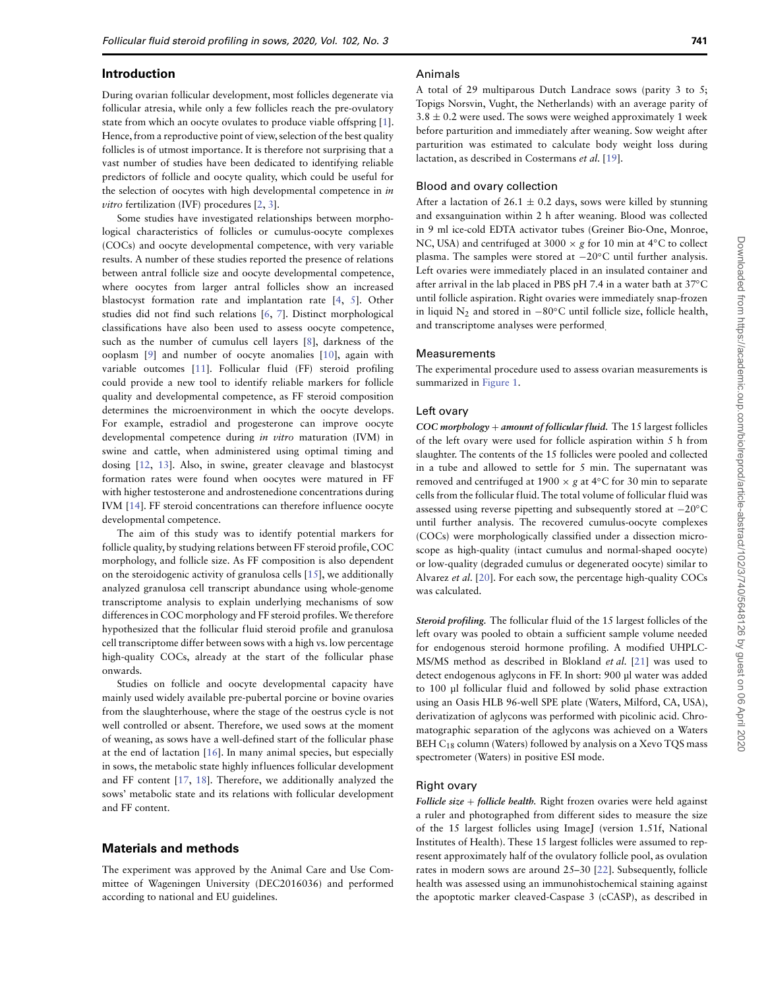### **Introduction**

During ovarian follicular development, most follicles degenerate via follicular atresia, while only a few follicles reach the pre-ovulatory state from which an oocyte ovulates to produce viable offspring [\[1\]](#page-8-0). Hence, from a reproductive point of view, selection of the best quality follicles is of utmost importance. It is therefore not surprising that a vast number of studies have been dedicated to identifying reliable predictors of follicle and oocyte quality, which could be useful for the selection of oocytes with high developmental competence in in vitro fertilization (IVF) procedures [\[2,](#page-8-1) [3\]](#page-8-2).

Some studies have investigated relationships between morphological characteristics of follicles or cumulus-oocyte complexes (COCs) and oocyte developmental competence, with very variable results. A number of these studies reported the presence of relations between antral follicle size and oocyte developmental competence, where oocytes from larger antral follicles show an increased blastocyst formation rate and implantation rate [\[4,](#page-8-3) [5\]](#page-8-4). Other studies did not find such relations [\[6,](#page-8-5) [7\]](#page-8-6). Distinct morphological classifications have also been used to assess oocyte competence, such as the number of cumulus cell layers [\[8\]](#page-8-7), darkness of the ooplasm [\[9\]](#page-8-8) and number of oocyte anomalies [\[10\]](#page-8-9), again with variable outcomes [\[11\]](#page-8-10). Follicular fluid (FF) steroid profiling could provide a new tool to identify reliable markers for follicle quality and developmental competence, as FF steroid composition determines the microenvironment in which the oocyte develops. For example, estradiol and progesterone can improve oocyte developmental competence during in vitro maturation (IVM) in swine and cattle, when administered using optimal timing and dosing [\[12,](#page-8-11) [13\]](#page-8-12). Also, in swine, greater cleavage and blastocyst formation rates were found when oocytes were matured in FF with higher testosterone and androstenedione concentrations during IVM [\[14\]](#page-8-13). FF steroid concentrations can therefore influence oocyte developmental competence.

The aim of this study was to identify potential markers for follicle quality, by studying relations between FF steroid profile, COC morphology, and follicle size. As FF composition is also dependent on the steroidogenic activity of granulosa cells [\[15\]](#page-8-14), we additionally analyzed granulosa cell transcript abundance using whole-genome transcriptome analysis to explain underlying mechanisms of sow differences in COC morphology and FF steroid profiles.We therefore hypothesized that the follicular fluid steroid profile and granulosa cell transcriptome differ between sows with a high vs. low percentage high-quality COCs, already at the start of the follicular phase onwards.

Studies on follicle and oocyte developmental capacity have mainly used widely available pre-pubertal porcine or bovine ovaries from the slaughterhouse, where the stage of the oestrus cycle is not well controlled or absent. Therefore, we used sows at the moment of weaning, as sows have a well-defined start of the follicular phase at the end of lactation [\[16\]](#page-8-15). In many animal species, but especially in sows, the metabolic state highly influences follicular development and FF content [\[17,](#page-8-16) [18\]](#page-8-17). Therefore, we additionally analyzed the sows' metabolic state and its relations with follicular development and FF content.

#### **Materials and methods**

The experiment was approved by the Animal Care and Use Committee of Wageningen University (DEC2016036) and performed according to national and EU guidelines.

#### Animals

A total of 29 multiparous Dutch Landrace sows (parity 3 to 5; Topigs Norsvin, Vught, the Netherlands) with an average parity of  $3.8 \pm 0.2$  were used. The sows were weighed approximately 1 week before parturition and immediately after weaning. Sow weight after parturition was estimated to calculate body weight loss during lactation, as described in Costermans et al. [\[19\]](#page-8-18).

#### Blood and ovary collection

After a lactation of 26.1  $\pm$  0.2 days, sows were killed by stunning and exsanguination within 2 h after weaning. Blood was collected in 9 ml ice-cold EDTA activator tubes (Greiner Bio-One, Monroe, NC, USA) and centrifuged at 3000  $\times$  g for 10 min at 4°C to collect plasma. The samples were stored at −20◦C until further analysis. Left ovaries were immediately placed in an insulated container and after arrival in the lab placed in PBS pH 7.4 in a water bath at 37◦C until follicle aspiration. Right ovaries were immediately snap-frozen in liquid  $N_2$  and stored in  $-80^\circ$ C until follicle size, follicle health, and transcriptome analyses were performed.

#### Measurements

The experimental procedure used to assess ovarian measurements is summarized in [Figure 1.](#page-2-0)

#### Left ovary

*COC morphology* + *amount of follicular fluid.* The 15 largest follicles of the left ovary were used for follicle aspiration within 5 h from slaughter. The contents of the 15 follicles were pooled and collected in a tube and allowed to settle for 5 min. The supernatant was removed and centrifuged at 1900  $\times$  g at 4 $\degree$ C for 30 min to separate cells from the follicular fluid. The total volume of follicular fluid was assessed using reverse pipetting and subsequently stored at −20◦C until further analysis. The recovered cumulus-oocyte complexes (COCs) were morphologically classified under a dissection microscope as high-quality (intact cumulus and normal-shaped oocyte) or low-quality (degraded cumulus or degenerated oocyte) similar to Alvarez et al. [\[20\]](#page-8-19). For each sow, the percentage high-quality COCs was calculated.

*Steroid profiling.* The follicular fluid of the 15 largest follicles of the left ovary was pooled to obtain a sufficient sample volume needed for endogenous steroid hormone profiling. A modified UHPLC-MS/MS method as described in Blokland et al. [\[21\]](#page-8-20) was used to detect endogenous aglycons in FF. In short: 900 μl water was added to 100 μl follicular fluid and followed by solid phase extraction using an Oasis HLB 96-well SPE plate (Waters, Milford, CA, USA), derivatization of aglycons was performed with picolinic acid. Chromatographic separation of the aglycons was achieved on a Waters BEH  $C_{18}$  column (Waters) followed by analysis on a Xevo TQS mass spectrometer (Waters) in positive ESI mode.

### Right ovary

*Follicle size* + *follicle health.* Right frozen ovaries were held against a ruler and photographed from different sides to measure the size of the 15 largest follicles using ImageJ (version 1.51f, National Institutes of Health). These 15 largest follicles were assumed to represent approximately half of the ovulatory follicle pool, as ovulation rates in modern sows are around 25–30 [\[22\]](#page-8-21). Subsequently, follicle health was assessed using an immunohistochemical staining against the apoptotic marker cleaved-Caspase 3 (cCASP), as described in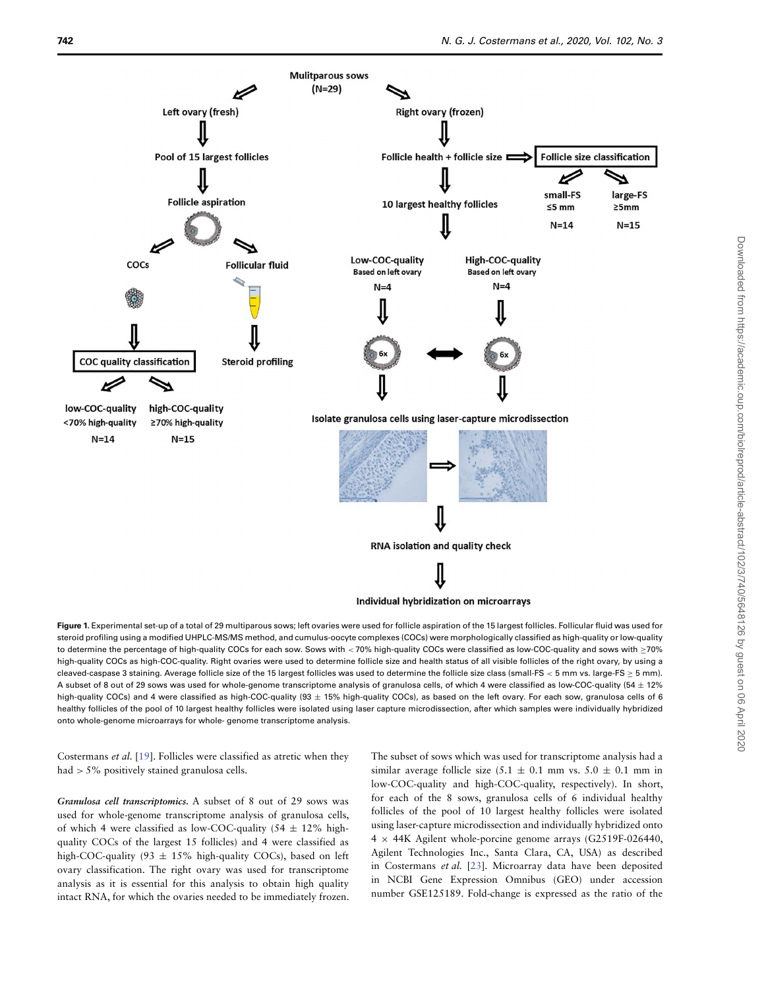

<span id="page-2-0"></span>**Figure 1.** Experimental set-up of a total of 29 multiparous sows; left ovaries were used for follicle aspiration of the 15 largest follicles. Follicular fluid was used for steroid profiling using a modified UHPLC-MS/MS method, and cumulus-oocyte complexes (COCs) were morphologically classified as high-quality or low-quality to determine the percentage of high-quality COCs for each sow. Sows with *<* 70% high-quality COCs were classified as low-COC-quality and sows with ≥70% high-quality COCs as high-COC-quality. Right ovaries were used to determine follicle size and health status of all visible follicles of the right ovary, by using a cleaved-caspase 3 staining. Average follicle size of the 15 largest follicles was used to determine the follicle size class (small-FS *<* 5 mm vs. large-FS ≥ 5 mm). A subset of 8 out of 29 sows was used for whole-genome transcriptome analysis of granulosa cells, of which 4 were classified as low-COC-quality (54  $\pm$  12%) high-quality COCs) and 4 were classified as high-COC-quality (93 + 15% high-quality COCs), as based on the left ovary. For each sow, granulosa cells of 6 healthy follicles of the pool of 10 largest healthy follicles were isolated using laser capture microdissection, after which samples were individually hybridized onto whole-genome microarrays for whole- genome transcriptome analysis.

Costermans et al. [\[19\]](#page-8-18). Follicles were classified as atretic when they had *>* 5% positively stained granulosa cells.

*Granulosa cell transcriptomics.* A subset of 8 out of 29 sows was used for whole-genome transcriptome analysis of granulosa cells, of which 4 were classified as low-COC-quality (54  $\pm$  12% highquality COCs of the largest 15 follicles) and 4 were classified as high-COC-quality (93  $\pm$  15% high-quality COCs), based on left ovary classification. The right ovary was used for transcriptome analysis as it is essential for this analysis to obtain high quality intact RNA, for which the ovaries needed to be immediately frozen. The subset of sows which was used for transcriptome analysis had a similar average follicle size (5.1  $\pm$  0.1 mm vs. 5.0  $\pm$  0.1 mm in low-COC-quality and high-COC-quality, respectively). In short, for each of the 8 sows, granulosa cells of 6 individual healthy follicles of the pool of 10 largest healthy follicles were isolated using laser-capture microdissection and individually hybridized onto 4 × 44K Agilent whole-porcine genome arrays (G2519F-026440, Agilent Technologies Inc., Santa Clara, CA, USA) as described in Costermans et al. [\[23\]](#page-8-22). Microarray data have been deposited in NCBI Gene Expression Omnibus (GEO) under accession number GSE125189. Fold-change is expressed as the ratio of the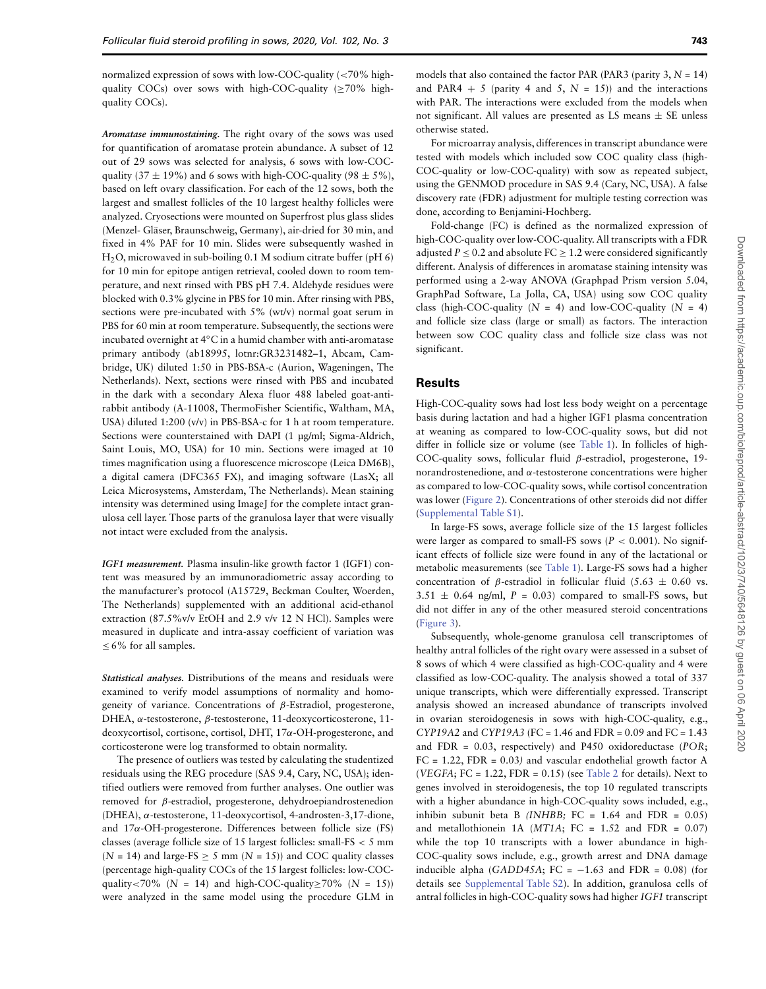normalized expression of sows with low-COC-quality (*<*70% highquality COCs) over sows with high-COC-quality ( $\geq$ 70% highquality COCs).

*Aromatase immunostaining.* The right ovary of the sows was used for quantification of aromatase protein abundance. A subset of 12 out of 29 sows was selected for analysis, 6 sows with low-COCquality (37  $\pm$  19%) and 6 sows with high-COC-quality (98  $\pm$  5%), based on left ovary classification. For each of the 12 sows, both the largest and smallest follicles of the 10 largest healthy follicles were analyzed. Cryosections were mounted on Superfrost plus glass slides (Menzel- Gläser, Braunschweig, Germany), air-dried for 30 min, and fixed in 4% PAF for 10 min. Slides were subsequently washed in  $H<sub>2</sub>O$ , microwaved in sub-boiling 0.1 M sodium citrate buffer (pH 6) for 10 min for epitope antigen retrieval, cooled down to room temperature, and next rinsed with PBS pH 7.4. Aldehyde residues were blocked with 0.3% glycine in PBS for 10 min. After rinsing with PBS, sections were pre-incubated with 5% (wt/v) normal goat serum in PBS for 60 min at room temperature. Subsequently, the sections were incubated overnight at 4◦C in a humid chamber with anti-aromatase primary antibody (ab18995, lotnr:GR3231482–1, Abcam, Cambridge, UK) diluted 1:50 in PBS-BSA-c (Aurion, Wageningen, The Netherlands). Next, sections were rinsed with PBS and incubated in the dark with a secondary Alexa fluor 488 labeled goat-antirabbit antibody (A-11008, ThermoFisher Scientific, Waltham, MA, USA) diluted 1:200 (v/v) in PBS-BSA-c for 1 h at room temperature. Sections were counterstained with DAPI (1 μg/ml; Sigma-Aldrich, Saint Louis, MO, USA) for 10 min. Sections were imaged at 10 times magnification using a fluorescence microscope (Leica DM6B), a digital camera (DFC365 FX), and imaging software (LasX; all Leica Microsystems, Amsterdam, The Netherlands). Mean staining intensity was determined using ImageJ for the complete intact granulosa cell layer. Those parts of the granulosa layer that were visually not intact were excluded from the analysis.

*IGF1 measurement.* Plasma insulin-like growth factor 1 (IGF1) content was measured by an immunoradiometric assay according to the manufacturer's protocol (A15729, Beckman Coulter, Woerden, The Netherlands) supplemented with an additional acid-ethanol extraction (87.5%v/v EtOH and 2.9 v/v 12 N HCl). Samples were measured in duplicate and intra-assay coefficient of variation was  $\leq 6\%$  for all samples.

*Statistical analyses.* Distributions of the means and residuals were examined to verify model assumptions of normality and homogeneity of variance. Concentrations of *β*-Estradiol, progesterone, DHEA, *α*-testosterone, *β*-testosterone, 11-deoxycorticosterone, 11 deoxycortisol, cortisone, cortisol, DHT, 17*α*-OH-progesterone, and corticosterone were log transformed to obtain normality.

The presence of outliers was tested by calculating the studentized residuals using the REG procedure (SAS 9.4, Cary, NC, USA); identified outliers were removed from further analyses. One outlier was removed for *β*-estradiol, progesterone, dehydroepiandrostenedion (DHEA), *α*-testosterone, 11-deoxycortisol, 4-androsten-3,17-dione, and 17*α*-OH-progesterone. Differences between follicle size (FS) classes (average follicle size of 15 largest follicles: small-FS *<* 5 mm  $(N = 14)$  and large-FS  $\geq$  5 mm  $(N = 15)$ ) and COC quality classes (percentage high-quality COCs of the 15 largest follicles: low-COCquality <70% ( $N = 14$ ) and high-COC-quality  $\geq 70\%$  ( $N = 15$ )) were analyzed in the same model using the procedure GLM in

models that also contained the factor PAR (PAR3 (parity 3,  $N = 14$ ) and PAR4 + 5 (parity 4 and 5,  $N = 15$ )) and the interactions with PAR. The interactions were excluded from the models when not significant. All values are presented as LS means  $\pm$  SE unless otherwise stated.

For microarray analysis, differences in transcript abundance were tested with models which included sow COC quality class (high-COC-quality or low-COC-quality) with sow as repeated subject, using the GENMOD procedure in SAS 9.4 (Cary, NC, USA). A false discovery rate (FDR) adjustment for multiple testing correction was done, according to Benjamini-Hochberg.

Fold-change (FC) is defined as the normalized expression of high-COC-quality over low-COC-quality. All transcripts with a FDR adjusted  $P \le 0.2$  and absolute  $FC \ge 1.2$  were considered significantly different. Analysis of differences in aromatase staining intensity was performed using a 2-way ANOVA (Graphpad Prism version 5.04, GraphPad Software, La Jolla, CA, USA) using sow COC quality class (high-COC-quality  $(N = 4)$  and low-COC-quality  $(N = 4)$ ) and follicle size class (large or small) as factors. The interaction between sow COC quality class and follicle size class was not significant.

# **Results**

High-COC-quality sows had lost less body weight on a percentage basis during lactation and had a higher IGF1 plasma concentration at weaning as compared to low-COC-quality sows, but did not differ in follicle size or volume (see [Table 1\)](#page-4-0). In follicles of high-COC-quality sows, follicular fluid *β*-estradiol, progesterone, 19 norandrostenedione, and *α*-testosterone concentrations were higher as compared to low-COC-quality sows, while cortisol concentration was lower [\(Figure 2\)](#page-6-0). Concentrations of other steroids did not differ [\(Supplemental Table S1\)](#page-7-0).

In large-FS sows, average follicle size of the 15 largest follicles were larger as compared to small-FS sows  $(P < 0.001)$ . No significant effects of follicle size were found in any of the lactational or metabolic measurements (see [Table 1\)](#page-4-0). Large-FS sows had a higher concentration of *β*-estradiol in follicular fluid (5.63  $\pm$  0.60 vs.  $3.51 \pm 0.64$  ng/ml,  $P = 0.03$  compared to small-FS sows, but did not differ in any of the other measured steroid concentrations (Figure 3).

Subsequently, whole-genome granulosa cell transcriptomes of healthy antral follicles of the right ovary were assessed in a subset of 8 sows of which 4 were classified as high-COC-quality and 4 were classified as low-COC-quality. The analysis showed a total of 337 unique transcripts, which were differentially expressed. Transcript analysis showed an increased abundance of transcripts involved in ovarian steroidogenesis in sows with high-COC-quality, e.g., CYP19A2 and CYP19A3 (FC = 1.46 and FDR = 0.09 and FC = 1.43 and FDR =  $0.03$ , respectively) and P450 oxidoreductase (POR; FC = 1.22, FDR = 0.03) and vascular endothelial growth factor A (VEGFA; FC = 1.22, FDR =  $0.15$ ) (see [Table 2](#page-6-1) for details). Next to genes involved in steroidogenesis, the top 10 regulated transcripts with a higher abundance in high-COC-quality sows included, e.g., inhibin subunit beta B (INHBB; FC =  $1.64$  and FDR =  $0.05$ ) and metallothionein 1A ( $MT1A$ ; FC = 1.52 and FDR = 0.07) while the top 10 transcripts with a lower abundance in high-COC-quality sows include, e.g., growth arrest and DNA damage inducible alpha (GADD45A; FC =  $-1.63$  and FDR = 0.08) (for details see Supplemental Table S2). In addition, granulosa cells of antral follicles in high-COC-quality sows had higher IGF1 transcript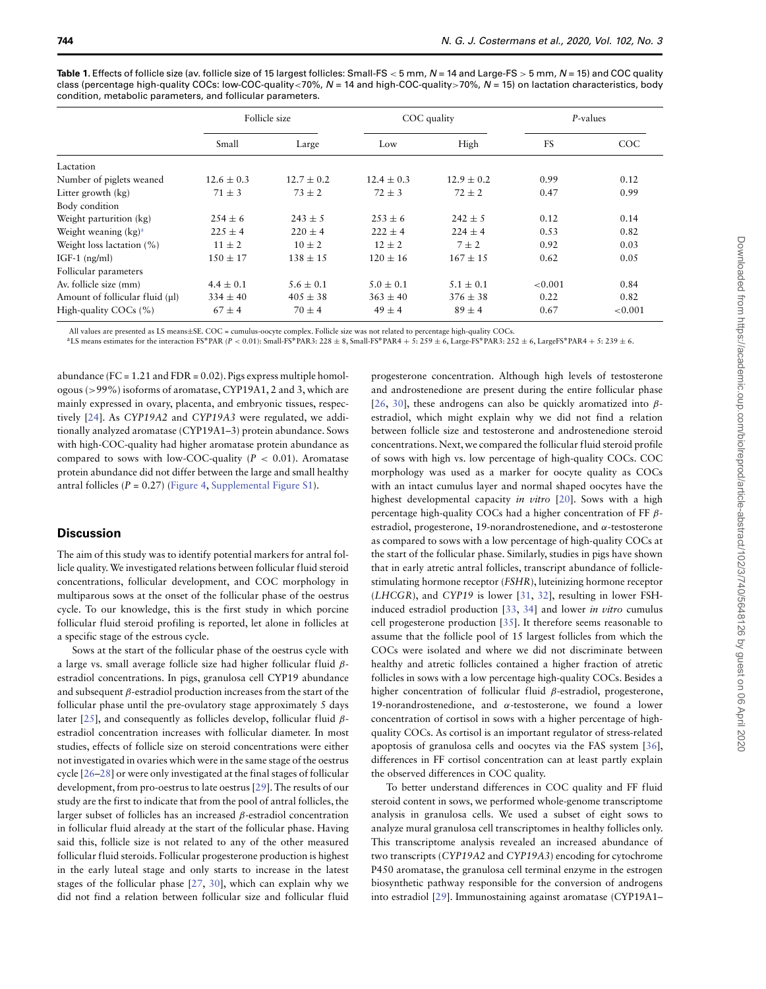|                                 | Follicle size  |               | COC quality   |                | P-values |            |
|---------------------------------|----------------|---------------|---------------|----------------|----------|------------|
|                                 | Small          | Large         | Low           | High           | FS       | COC        |
| Lactation                       |                |               |               |                |          |            |
| Number of piglets weaned        | $12.6 \pm 0.3$ | $12.7 + 0.2$  | $12.4 + 0.3$  | $12.9 \pm 0.2$ | 0.99     | 0.12       |
| Litter growth (kg)              | $71 \pm 3$     | $73 \pm 2$    | $72 \pm 3$    | $72 \pm 2$     | 0.47     | 0.99       |
| Body condition                  |                |               |               |                |          |            |
| Weight parturition (kg)         | $254 \pm 6$    | $243 \pm 5$   | $253 \pm 6$   | $242 + 5$      | 0.12     | 0.14       |
| Weight weaning $(kg)^a$         | $225 \pm 4$    | $220 \pm 4$   | $222 + 4$     | $224 + 4$      | 0.53     | 0.82       |
| Weight loss lactation $(\%)$    | $11 \pm 2$     | $10 \pm 2$    | $12 \pm 2$    | $7 \pm 2$      | 0.92     | 0.03       |
| $IGF-1$ (ng/ml)                 | $150 \pm 17$   | $138 \pm 15$  | $120 \pm 16$  | $167 \pm 15$   | 0.62     | 0.05       |
| Follicular parameters           |                |               |               |                |          |            |
| Av. follicle size (mm)          | $4.4 \pm 0.1$  | $5.6 \pm 0.1$ | $5.0 \pm 0.1$ | $5.1 \pm 0.1$  | < 0.001  | 0.84       |
| Amount of follicular fluid (µl) | $334 \pm 40$   | $405 \pm 38$  | $363 \pm 40$  | $376 \pm 38$   | 0.22     | 0.82       |
| High-quality COCs (%)           | $67 \pm 4$     | $70 \pm 4$    | $49 \pm 4$    | $89 \pm 4$     | 0.67     | ${<}0.001$ |

<span id="page-4-0"></span>Table 1. Effects of follicle size (av. follicle size of 15 largest follicles: Small-FS < 5 mm, N = 14 and Large-FS > 5 mm, N = 15) and COC quality class (percentage high-quality COCs: low-COC-quality*<*70%, N = 14 and high-COC-quality*>*70%, N = 15) on lactation characteristics, body condition, metabolic parameters, and follicular parameters.

All values are presented as LS means±SE. COC = cumulus-oocyte complex. Follicle size was not related to percentage high-quality COCs.<br><sup>a</sup>LS means estimates for the interaction FS\*PAR (*P* < 0.01): Small-FS\*PAR3: 228 ± 8,

abundance ( $FC = 1.21$  and  $FDR = 0.02$ ). Pigs express multiple homologous (*>*99%) isoforms of aromatase, CYP19A1, 2 and 3, which are mainly expressed in ovary, placenta, and embryonic tissues, respectively [\[24\]](#page-8-23). As CYP19A2 and CYP19A3 were regulated, we additionally analyzed aromatase (CYP19A1–3) protein abundance. Sows with high-COC-quality had higher aromatase protein abundance as compared to sows with low-COC-quality  $(P < 0.01)$ . Aromatase protein abundance did not differ between the large and small healthy antral follicles ( $P = 0.27$ ) (Figure 4, Supplemental Figure S1).

#### **Discussion**

The aim of this study was to identify potential markers for antral follicle quality.We investigated relations between follicular fluid steroid concentrations, follicular development, and COC morphology in multiparous sows at the onset of the follicular phase of the oestrus cycle. To our knowledge, this is the first study in which porcine follicular fluid steroid profiling is reported, let alone in follicles at a specific stage of the estrous cycle.

Sows at the start of the follicular phase of the oestrus cycle with a large vs. small average follicle size had higher follicular fluid *β*estradiol concentrations. In pigs, granulosa cell CYP19 abundance and subsequent *β*-estradiol production increases from the start of the follicular phase until the pre-ovulatory stage approximately 5 days later [\[25\]](#page-8-24), and consequently as follicles develop, follicular fluid *β*estradiol concentration increases with follicular diameter. In most studies, effects of follicle size on steroid concentrations were either not investigated in ovaries which were in the same stage of the oestrus cycle [\[26–](#page-8-25)[28\]](#page-8-26) or were only investigated at the final stages of follicular development, from pro-oestrus to late oestrus [\[29\]](#page-8-27). The results of our study are the first to indicate that from the pool of antral follicles, the larger subset of follicles has an increased *β*-estradiol concentration in follicular fluid already at the start of the follicular phase. Having said this, follicle size is not related to any of the other measured follicular fluid steroids. Follicular progesterone production is highest in the early luteal stage and only starts to increase in the latest stages of the follicular phase [\[27,](#page-8-28) [30\]](#page-8-29), which can explain why we did not find a relation between follicular size and follicular fluid progesterone concentration. Although high levels of testosterone and androstenedione are present during the entire follicular phase [\[26,](#page-8-25) [30\]](#page-8-29), these androgens can also be quickly aromatized into *β*estradiol, which might explain why we did not find a relation between follicle size and testosterone and androstenedione steroid concentrations. Next, we compared the follicular fluid steroid profile of sows with high vs. low percentage of high-quality COCs. COC morphology was used as a marker for oocyte quality as COCs with an intact cumulus layer and normal shaped oocytes have the highest developmental capacity *in vitro* [\[20\]](#page-8-19). Sows with a high percentage high-quality COCs had a higher concentration of FF *β*estradiol, progesterone, 19-norandrostenedione, and *α*-testosterone as compared to sows with a low percentage of high-quality COCs at the start of the follicular phase. Similarly, studies in pigs have shown that in early atretic antral follicles, transcript abundance of folliclestimulating hormone receptor (FSHR), luteinizing hormone receptor (LHCGR), and CYP19 is lower [\[31,](#page-8-30) [32\]](#page-8-31), resulting in lower FSHinduced estradiol production [\[33,](#page-8-32) [34\]](#page-8-33) and lower in vitro cumulus cell progesterone production [\[35\]](#page-8-34). It therefore seems reasonable to assume that the follicle pool of 15 largest follicles from which the COCs were isolated and where we did not discriminate between healthy and atretic follicles contained a higher fraction of atretic follicles in sows with a low percentage high-quality COCs. Besides a higher concentration of follicular fluid *β*-estradiol, progesterone, 19-norandrostenedione, and *α*-testosterone, we found a lower concentration of cortisol in sows with a higher percentage of highquality COCs. As cortisol is an important regulator of stress-related apoptosis of granulosa cells and oocytes via the FAS system [\[36\]](#page-8-35), differences in FF cortisol concentration can at least partly explain the observed differences in COC quality.

To better understand differences in COC quality and FF fluid steroid content in sows, we performed whole-genome transcriptome analysis in granulosa cells. We used a subset of eight sows to analyze mural granulosa cell transcriptomes in healthy follicles only. This transcriptome analysis revealed an increased abundance of two transcripts (CYP19A2 and CYP19A3) encoding for cytochrome P450 aromatase, the granulosa cell terminal enzyme in the estrogen biosynthetic pathway responsible for the conversion of androgens into estradiol [\[29\]](#page-8-27). Immunostaining against aromatase (CYP19A1–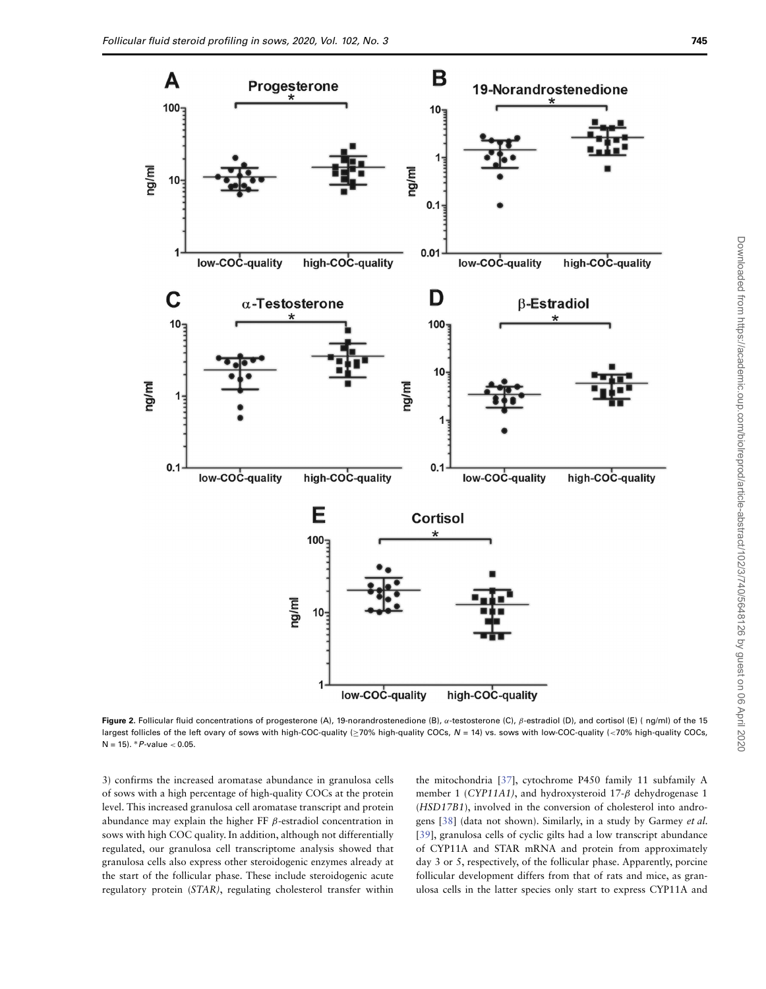

**Figure 2.** Follicular fluid concentrations of progesterone (A), 19-norandrostenedione (B), *α*-testosterone (C), *β*-estradiol (D), and cortisol (E) ( ng/ml) of the 15 largest follicles of the left ovary of sows with high-COC-quality (≥70% high-quality COCs, N = 14) vs. sows with low-COC-quality (*<*70% high-quality COCs, N = 15). ∗P-value *<* 0.05.

3) confirms the increased aromatase abundance in granulosa cells of sows with a high percentage of high-quality COCs at the protein level. This increased granulosa cell aromatase transcript and protein abundance may explain the higher FF *β*-estradiol concentration in sows with high COC quality. In addition, although not differentially regulated, our granulosa cell transcriptome analysis showed that granulosa cells also express other steroidogenic enzymes already at the start of the follicular phase. These include steroidogenic acute regulatory protein (STAR), regulating cholesterol transfer within

the mitochondria [\[37\]](#page-8-36), cytochrome P450 family 11 subfamily A member 1 (CYP11A1), and hydroxysteroid 17-*β* dehydrogenase 1 (HSD17B1), involved in the conversion of cholesterol into andro-gens [\[38\]](#page-9-0) (data not shown). Similarly, in a study by Garmey et al. [\[39\]](#page-9-1), granulosa cells of cyclic gilts had a low transcript abundance of CYP11A and STAR mRNA and protein from approximately day 3 or 5, respectively, of the follicular phase. Apparently, porcine follicular development differs from that of rats and mice, as granulosa cells in the latter species only start to express CYP11A and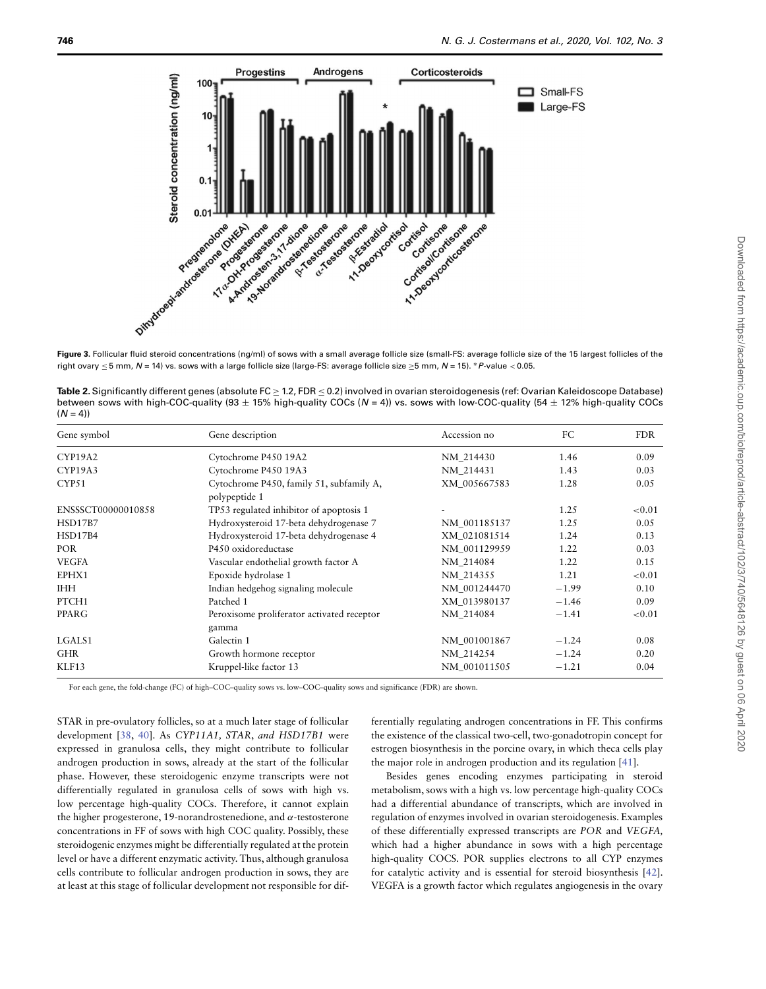

<span id="page-6-0"></span>right ovary ≤ 5 mm, N = 14) vs. sows with a large follicle size (large-FS: average follicle size ≥5 mm, N = 15). <sup>∗</sup>P-value *<* 0.05.

<span id="page-6-1"></span>

| Table 2. Significantly different genes (absolute FC $\geq$ 1.2, FDR $\leq$ 0.2) involved in ovarian steroidogenesis (ref: Ovarian Kaleidoscope Database) |
|----------------------------------------------------------------------------------------------------------------------------------------------------------|
| between sows with high-COC-quality (93 $\pm$ 15% high-quality COCs (N = 4)) vs. sows with low-COC-quality (54 $\pm$ 12% high-quality COCs                |
| $(N = 4)$                                                                                                                                                |

| Gene symbol        | Gene description                                          | Accession no | FC<br>1.46 | <b>FDR</b> |  |
|--------------------|-----------------------------------------------------------|--------------|------------|------------|--|
| CYP19A2            | Cytochrome P450 19A2                                      | NM 214430    |            | 0.09       |  |
| CYP19A3            | Cytochrome P450 19A3                                      | NM 214431    | 1.43       | 0.03       |  |
| CYP51              | Cytochrome P450, family 51, subfamily A,<br>polypeptide 1 | XM 005667583 | 1.28       | 0.05       |  |
| ENSSSCT00000010858 | TP53 regulated inhibitor of apoptosis 1                   |              | 1.25       | ${<}0.01$  |  |
| <b>HSD17B7</b>     | Hydroxysteroid 17-beta dehydrogenase 7                    | NM 001185137 | 1.25       | 0.05       |  |
| HSD17B4            | Hydroxysteroid 17-beta dehydrogenase 4                    | XM 021081514 | 1.24       | 0.13       |  |
| <b>POR</b>         | P450 oxidoreductase                                       | NM 001129959 | 1.22       | 0.03       |  |
| <b>VEGFA</b>       | Vascular endothelial growth factor A                      | NM 214084    | 1.22       | 0.15       |  |
| EPHX1              | Epoxide hydrolase 1                                       | NM 214355    | 1.21       | ${<}0.01$  |  |
| <b>IHH</b>         | Indian hedgehog signaling molecule                        | NM 001244470 | $-1.99$    | 0.10       |  |
| PTCH1              | Patched 1                                                 | XM 013980137 | $-1.46$    | 0.09       |  |
| PPARG              | Peroxisome proliferator activated receptor<br>gamma       | NM 214084    | $-1.41$    | ${<}0.01$  |  |
| LGALS1             | Galectin 1                                                | NM 001001867 | $-1.24$    | 0.08       |  |
| <b>GHR</b>         | Growth hormone receptor                                   | NM 214254    | $-1.24$    | 0.20       |  |
| KLF13              | Kruppel-like factor 13                                    | NM_001011505 | $-1.21$    | 0.04       |  |

For each gene, the fold-change (FC) of high–COC–quality sows vs. low–COC–quality sows and significance (FDR) are shown.

STAR in pre-ovulatory follicles, so at a much later stage of follicular development [\[38,](#page-9-0) [40\]](#page-9-2). As CYP11A1, STAR, and HSD17B1 were expressed in granulosa cells, they might contribute to follicular androgen production in sows, already at the start of the follicular phase. However, these steroidogenic enzyme transcripts were not differentially regulated in granulosa cells of sows with high vs. low percentage high-quality COCs. Therefore, it cannot explain the higher progesterone, 19-norandrostenedione, and *α*-testosterone concentrations in FF of sows with high COC quality. Possibly, these steroidogenic enzymes might be differentially regulated at the protein level or have a different enzymatic activity. Thus, although granulosa cells contribute to follicular androgen production in sows, they are at least at this stage of follicular development not responsible for differentially regulating androgen concentrations in FF. This confirms the existence of the classical two-cell, two-gonadotropin concept for estrogen biosynthesis in the porcine ovary, in which theca cells play the major role in androgen production and its regulation [\[41\]](#page-9-3).

Besides genes encoding enzymes participating in steroid metabolism, sows with a high vs. low percentage high-quality COCs had a differential abundance of transcripts, which are involved in regulation of enzymes involved in ovarian steroidogenesis. Examples of these differentially expressed transcripts are POR and VEGFA, which had a higher abundance in sows with a high percentage high-quality COCS. POR supplies electrons to all CYP enzymes for catalytic activity and is essential for steroid biosynthesis [\[42\]](#page-9-4). VEGFA is a growth factor which regulates angiogenesis in the ovary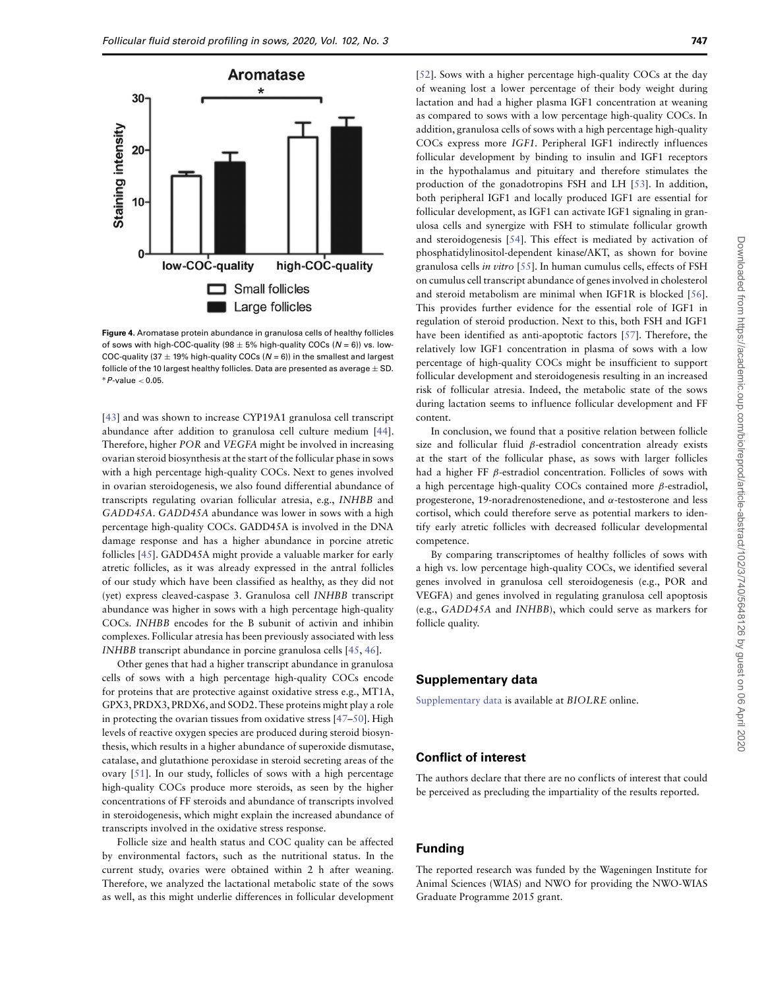

<span id="page-7-0"></span>**Figure 4.** Aromatase protein abundance in granulosa cells of healthy follicles of sows with high-COC-quality (98  $\pm$  5% high-quality COCs ( $N = 6$ )) vs. low-COC-quality (37  $\pm$  19% high-quality COCs (N = 6)) in the smallest and largest follicle of the 10 largest healthy follicles. Data are presented as average  $\pm$  SD. ∗P-value *<* 0.05.

[\[43\]](#page-9-5) and was shown to increase CYP19A1 granulosa cell transcript abundance after addition to granulosa cell culture medium [\[44\]](#page-9-6). Therefore, higher POR and VEGFA might be involved in increasing ovarian steroid biosynthesis at the start of the follicular phase in sows with a high percentage high-quality COCs. Next to genes involved in ovarian steroidogenesis, we also found differential abundance of transcripts regulating ovarian follicular atresia, e.g., INHBB and GADD45A. GADD45A abundance was lower in sows with a high percentage high-quality COCs. GADD45A is involved in the DNA damage response and has a higher abundance in porcine atretic follicles [\[45\]](#page-9-7). GADD45A might provide a valuable marker for early atretic follicles, as it was already expressed in the antral follicles of our study which have been classified as healthy, as they did not (yet) express cleaved-caspase 3. Granulosa cell INHBB transcript abundance was higher in sows with a high percentage high-quality COCs. INHBB encodes for the B subunit of activin and inhibin complexes. Follicular atresia has been previously associated with less INHBB transcript abundance in porcine granulosa cells [\[45,](#page-9-7) [46\]](#page-9-8).

Other genes that had a higher transcript abundance in granulosa cells of sows with a high percentage high-quality COCs encode for proteins that are protective against oxidative stress e.g., MT1A, GPX3, PRDX3, PRDX6, and SOD2. These proteins might play a role in protecting the ovarian tissues from oxidative stress [\[47–](#page-9-9)[50\]](#page-9-10). High levels of reactive oxygen species are produced during steroid biosynthesis, which results in a higher abundance of superoxide dismutase, catalase, and glutathione peroxidase in steroid secreting areas of the ovary [\[51\]](#page-9-11). In our study, follicles of sows with a high percentage high-quality COCs produce more steroids, as seen by the higher concentrations of FF steroids and abundance of transcripts involved in steroidogenesis, which might explain the increased abundance of transcripts involved in the oxidative stress response.

Follicle size and health status and COC quality can be affected by environmental factors, such as the nutritional status. In the current study, ovaries were obtained within 2 h after weaning. Therefore, we analyzed the lactational metabolic state of the sows as well, as this might underlie differences in follicular development

[\[52\]](#page-9-12). Sows with a higher percentage high-quality COCs at the day of weaning lost a lower percentage of their body weight during lactation and had a higher plasma IGF1 concentration at weaning as compared to sows with a low percentage high-quality COCs. In addition, granulosa cells of sows with a high percentage high-quality COCs express more IGF1. Peripheral IGF1 indirectly influences follicular development by binding to insulin and IGF1 receptors in the hypothalamus and pituitary and therefore stimulates the production of the gonadotropins FSH and LH [\[53\]](#page-9-13). In addition, both peripheral IGF1 and locally produced IGF1 are essential for follicular development, as IGF1 can activate IGF1 signaling in granulosa cells and synergize with FSH to stimulate follicular growth and steroidogenesis [\[54\]](#page-9-14). This effect is mediated by activation of phosphatidylinositol-dependent kinase/AKT, as shown for bovine granulosa cells in vitro [\[55\]](#page-9-15). In human cumulus cells, effects of FSH on cumulus cell transcript abundance of genes involved in cholesterol and steroid metabolism are minimal when IGF1R is blocked [\[56\]](#page-9-16). This provides further evidence for the essential role of IGF1 in regulation of steroid production. Next to this, both FSH and IGF1 have been identified as anti-apoptotic factors [\[57\]](#page-9-17). Therefore, the relatively low IGF1 concentration in plasma of sows with a low percentage of high-quality COCs might be insufficient to support follicular development and steroidogenesis resulting in an increased risk of follicular atresia. Indeed, the metabolic state of the sows during lactation seems to influence follicular development and FF content.

In conclusion, we found that a positive relation between follicle size and follicular fluid *β*-estradiol concentration already exists at the start of the follicular phase, as sows with larger follicles had a higher FF *β*-estradiol concentration. Follicles of sows with a high percentage high-quality COCs contained more *β*-estradiol, progesterone, 19-noradrenostenedione, and *α*-testosterone and less cortisol, which could therefore serve as potential markers to identify early atretic follicles with decreased follicular developmental competence.

By comparing transcriptomes of healthy follicles of sows with a high vs. low percentage high-quality COCs, we identified several genes involved in granulosa cell steroidogenesis (e.g., POR and VEGFA) and genes involved in regulating granulosa cell apoptosis (e.g., GADD45A and INHBB), which could serve as markers for follicle quality.

# **Supplementary data**

[Supplementary data](https://academic.oup.com/biolreprod/article-lookup/doi/10.1093/biolreprod/ioz217#supplementary-data) is available at BIOLRE online.

# **Conflict of interest**

The authors declare that there are no conflicts of interest that could be perceived as precluding the impartiality of the results reported.

# **Funding**

The reported research was funded by the Wageningen Institute for Animal Sciences (WIAS) and NWO for providing the NWO-WIAS Graduate Programme 2015 grant.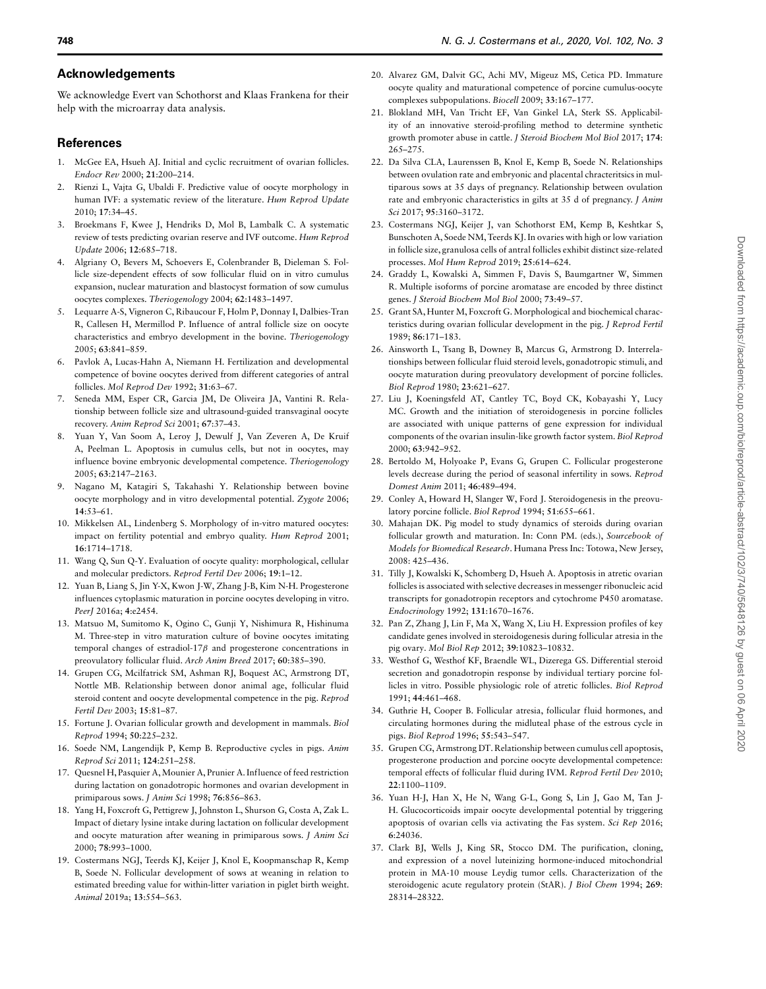# **Acknowledgements**

We acknowledge Evert van Schothorst and Klaas Frankena for their help with the microarray data analysis.

#### **References**

- <span id="page-8-0"></span>1. McGee EA, Hsueh AJ. Initial and cyclic recruitment of ovarian follicles. Endocr Rev 2000; **21**:200–214.
- <span id="page-8-1"></span>2. Rienzi L, Vajta G, Ubaldi F. Predictive value of oocyte morphology in human IVF: a systematic review of the literature. Hum Reprod Update 2010; **17**:34–45.
- <span id="page-8-2"></span>3. Broekmans F, Kwee J, Hendriks D, Mol B, Lambalk C. A systematic review of tests predicting ovarian reserve and IVF outcome. Hum Reprod Update 2006; **12**:685–718.
- <span id="page-8-3"></span>4. Algriany O, Bevers M, Schoevers E, Colenbrander B, Dieleman S. Follicle size-dependent effects of sow follicular fluid on in vitro cumulus expansion, nuclear maturation and blastocyst formation of sow cumulus oocytes complexes. Theriogenology 2004; **62**:1483–1497.
- <span id="page-8-4"></span>5. Lequarre A-S, Vigneron C, Ribaucour F, Holm P, Donnay I, Dalbies-Tran R, Callesen H, Mermillod P. Influence of antral follicle size on oocyte characteristics and embryo development in the bovine. Theriogenology 2005; **63**:841–859.
- <span id="page-8-5"></span>Pavlok A, Lucas-Hahn A, Niemann H. Fertilization and developmental competence of bovine oocytes derived from different categories of antral follicles. Mol Reprod Dev 1992; **31**:63–67.
- <span id="page-8-6"></span>7. Seneda MM, Esper CR, Garcia JM, De Oliveira JA, Vantini R. Relationship between follicle size and ultrasound-guided transvaginal oocyte recovery. Anim Reprod Sci 2001; **67**:37–43.
- <span id="page-8-7"></span>8. Yuan Y, Van Soom A, Leroy J, Dewulf J, Van Zeveren A, De Kruif A, Peelman L. Apoptosis in cumulus cells, but not in oocytes, may influence bovine embryonic developmental competence. Theriogenology 2005; **63**:2147–2163.
- <span id="page-8-8"></span>9. Nagano M, Katagiri S, Takahashi Y. Relationship between bovine oocyte morphology and in vitro developmental potential. Zygote 2006; **14**:53–61.
- <span id="page-8-9"></span>10. Mikkelsen AL, Lindenberg S. Morphology of in-vitro matured oocytes: impact on fertility potential and embryo quality. Hum Reprod 2001; **16**:1714–1718.
- <span id="page-8-10"></span>11. Wang Q, Sun Q-Y. Evaluation of oocyte quality: morphological, cellular and molecular predictors. Reprod Fertil Dev 2006; **19**:1–12.
- <span id="page-8-11"></span>12. Yuan B, Liang S, Jin Y-X, Kwon J-W, Zhang J-B, Kim N-H. Progesterone influences cytoplasmic maturation in porcine oocytes developing in vitro. PeerJ 2016a; **4**:e2454.
- <span id="page-8-12"></span>13. Matsuo M, Sumitomo K, Ogino C, Gunji Y, Nishimura R, Hishinuma M. Three-step in vitro maturation culture of bovine oocytes imitating temporal changes of estradiol-17*β* and progesterone concentrations in preovulatory follicular fluid. Arch Anim Breed 2017; **60**:385–390.
- <span id="page-8-13"></span>14. Grupen CG, Mcilfatrick SM, Ashman RJ, Boquest AC, Armstrong DT, Nottle MB. Relationship between donor animal age, follicular fluid steroid content and oocyte developmental competence in the pig. Reprod Fertil Dev 2003; **15**:81–87.
- <span id="page-8-14"></span>15. Fortune J. Ovarian follicular growth and development in mammals. Biol Reprod 1994; **50**:225–232.
- <span id="page-8-15"></span>16. Soede NM, Langendijk P, Kemp B. Reproductive cycles in pigs. Anim Reprod Sci 2011; **124**:251–258.
- <span id="page-8-16"></span>17. Quesnel H, Pasquier A, Mounier A, Prunier A. Influence of feed restriction during lactation on gonadotropic hormones and ovarian development in primiparous sows. J Anim Sci 1998; **76**:856–863.
- <span id="page-8-17"></span>18. Yang H, Foxcroft G, Pettigrew J, Johnston L, Shurson G, Costa A, Zak L. Impact of dietary lysine intake during lactation on follicular development and oocyte maturation after weaning in primiparous sows. J Anim Sci 2000; **78**:993–1000.
- <span id="page-8-18"></span>19. Costermans NGJ, Teerds KJ, Keijer J, Knol E, Koopmanschap R, Kemp B, Soede N. Follicular development of sows at weaning in relation to estimated breeding value for within-litter variation in piglet birth weight. Animal 2019a; **13**:554–563.
- <span id="page-8-19"></span>20. Alvarez GM, Dalvit GC, Achi MV, Migeuz MS, Cetica PD. Immature oocyte quality and maturational competence of porcine cumulus-oocyte complexes subpopulations. Biocell 2009; **33**:167–177.
- <span id="page-8-20"></span>21. Blokland MH, Van Tricht EF, Van Ginkel LA, Sterk SS. Applicability of an innovative steroid-profiling method to determine synthetic growth promoter abuse in cattle. J Steroid Biochem Mol Biol 2017; **174**: 265–275.
- <span id="page-8-21"></span>22. Da Silva CLA, Laurenssen B, Knol E, Kemp B, Soede N. Relationships between ovulation rate and embryonic and placental chracteritsics in multiparous sows at 35 days of pregnancy. Relationship between ovulation rate and embryonic characteristics in gilts at 35 d of pregnancy. J Anim Sci 2017; **95**:3160–3172.
- <span id="page-8-22"></span>23. Costermans NGJ, Keijer J, van Schothorst EM, Kemp B, Keshtkar S, Bunschoten A, Soede NM, Teerds KJ. In ovaries with high or low variation in follicle size, granulosa cells of antral follicles exhibit distinct size-related processes. Mol Hum Reprod 2019; **25**:614–624.
- <span id="page-8-23"></span>24. Graddy L, Kowalski A, Simmen F, Davis S, Baumgartner W, Simmen R. Multiple isoforms of porcine aromatase are encoded by three distinct genes. J Steroid Biochem Mol Biol 2000; **73**:49–57.
- <span id="page-8-24"></span>25. Grant SA, Hunter M, Foxcroft G. Morphological and biochemical characteristics during ovarian follicular development in the pig. J Reprod Fertil 1989; **86**:171–183.
- <span id="page-8-25"></span>26. Ainsworth L, Tsang B, Downey B, Marcus G, Armstrong D. Interrelationships between follicular fluid steroid levels, gonadotropic stimuli, and oocyte maturation during preovulatory development of porcine follicles. Biol Reprod 1980; **23**:621–627.
- <span id="page-8-28"></span>27. Liu J, Koeningsfeld AT, Cantley TC, Boyd CK, Kobayashi Y, Lucy MC. Growth and the initiation of steroidogenesis in porcine follicles are associated with unique patterns of gene expression for individual components of the ovarian insulin-like growth factor system. Biol Reprod 2000; **63**:942–952.
- <span id="page-8-26"></span>28. Bertoldo M, Holyoake P, Evans G, Grupen C. Follicular progesterone levels decrease during the period of seasonal infertility in sows. Reprod Domest Anim 2011; **46**:489–494.
- <span id="page-8-27"></span>29. Conley A, Howard H, Slanger W, Ford J. Steroidogenesis in the preovulatory porcine follicle. Biol Reprod 1994; **51**:655–661.
- <span id="page-8-29"></span>30. Mahajan DK. Pig model to study dynamics of steroids during ovarian follicular growth and maturation. In: Conn PM. (eds.), Sourcebook of Models for Biomedical Research. Humana Press Inc: Totowa, New Jersey, 2008: 425–436.
- <span id="page-8-30"></span>31. Tilly J, Kowalski K, Schomberg D, Hsueh A. Apoptosis in atretic ovarian follicles is associated with selective decreases in messenger ribonucleic acid transcripts for gonadotropin receptors and cytochrome P450 aromatase. Endocrinology 1992; **131**:1670–1676.
- <span id="page-8-31"></span>32. Pan Z, Zhang J, Lin F, Ma X, Wang X, Liu H. Expression profiles of key candidate genes involved in steroidogenesis during follicular atresia in the pig ovary. Mol Biol Rep 2012; **39**:10823–10832.
- <span id="page-8-32"></span>33. Westhof G, Westhof KF, Braendle WL, Dizerega GS. Differential steroid secretion and gonadotropin response by individual tertiary porcine follicles in vitro. Possible physiologic role of atretic follicles. Biol Reprod 1991; **44**:461–468.
- <span id="page-8-33"></span>34. Guthrie H, Cooper B. Follicular atresia, follicular fluid hormones, and circulating hormones during the midluteal phase of the estrous cycle in pigs. Biol Reprod 1996; **55**:543–547.
- <span id="page-8-34"></span>35. Grupen CG, Armstrong DT. Relationship between cumulus cell apoptosis, progesterone production and porcine oocyte developmental competence: temporal effects of follicular fluid during IVM. Reprod Fertil Dev 2010; **22**:1100–1109.
- <span id="page-8-35"></span>36. Yuan H-J, Han X, He N, Wang G-L, Gong S, Lin J, Gao M, Tan J-H. Glucocorticoids impair oocyte developmental potential by triggering apoptosis of ovarian cells via activating the Fas system. Sci Rep 2016; **6**:24036.
- <span id="page-8-36"></span>37. Clark BJ, Wells J, King SR, Stocco DM. The purification, cloning, and expression of a novel luteinizing hormone-induced mitochondrial protein in MA-10 mouse Leydig tumor cells. Characterization of the steroidogenic acute regulatory protein (StAR). J Biol Chem 1994; **269**: 28314–28322.